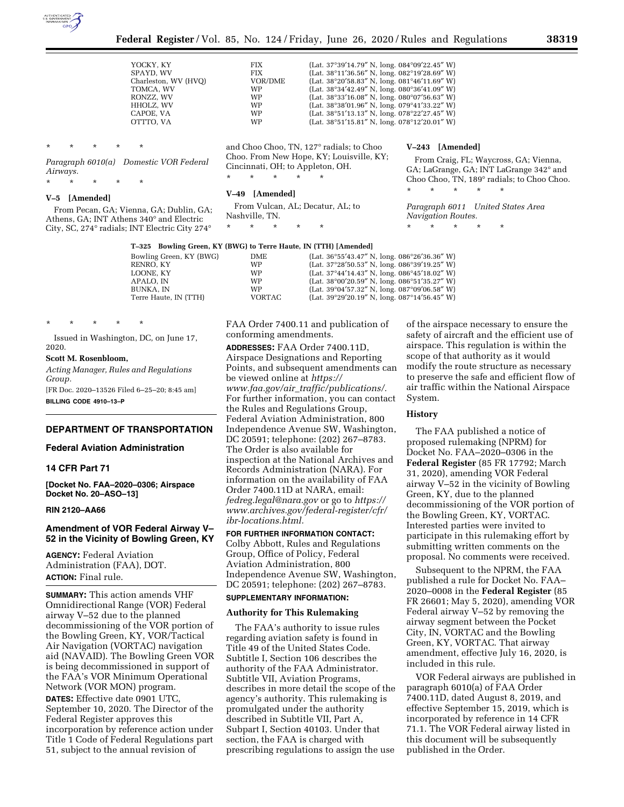

*Airways.* 

| YOCKY, KY            | <b>FIX</b> | (Lat. 37°39'14.79" N, long. 084°09'22.45" W)                     |
|----------------------|------------|------------------------------------------------------------------|
| SPAYD. WV            | <b>FIX</b> | (Lat. 38°11'36.56" N, long. 082°19'28.69" W)                     |
| Charleston, WV (HVO) | VOR/DME    | (Lat. 38°20'58.83" N, long. 081°46'11.69" W)                     |
| TOMCA, WV            | <b>WP</b>  | (Lat. $38^{\circ}34'42.49''$ N, long. $080^{\circ}36'41.09''$ W) |
| RONZZ, WV            | <b>WP</b>  | (Lat. 38°33'16.08" N, long. 080°07'56.63" W)                     |
| HHOLZ, WV            | <b>WP</b>  | (Lat. 38°38'01.96" N, long. 079°41'33.22" W)                     |
| CAPOE. VA            | <b>WP</b>  | (Lat. 38°51'13.13" N, long. 078°22'27.45" W)                     |
| OTTTO, VA            | <b>WP</b>  | (Lat. 38°51'15.81" N, long. 078°12'20.01" W)                     |
|                      |            |                                                                  |

*Paragraph 6010(a) Domestic VOR Federal*  and Choo Choo, TN, 127° radials; to Choo Choo. From New Hope, KY; Louisville, KY; Cincinnati, OH; to Appleton, OH.

\* \* \* \* \*

#### **V–49 [Amended]**

From Vulcan, AL; Decatur, AL; to Nashville, TN.

\* \* \* \* \*

#### **T–325 Bowling Green, KY (BWG) to Terre Haute, IN (TTH) [Amended]**

| Bowling Green, KY (BWG) | DME.          | (Lat. $36^{\circ}55'43.47''$ N, long. $086^{\circ}26'36.36''$ W) |
|-------------------------|---------------|------------------------------------------------------------------|
| RENRO. KY               | WP            | (Lat. $37^{\circ}28'50.53''$ N, long. $086^{\circ}39'19.25''$ W) |
| LOONE. KY               | WP            | (Lat. $37^{\circ}44'14.43''$ N, long. $086^{\circ}45'18.02''$ W) |
| APALO. IN               | WP            | (Lat. $38^{\circ}00'20.59''$ N, long. $086^{\circ}51'35.27''$ W) |
| BUNKA. IN               | WP            | (Lat. $39^{\circ}04'57.32''$ N, long. $087^{\circ}09'06.58''$ W) |
| Terre Haute, IN (TTH)   | <b>VORTAC</b> | (Lat. $39^{\circ}29'20.19''$ N, long. $087^{\circ}14'56.45''$ W) |
|                         |               |                                                                  |

\* \* \* \* \* Issued in Washington, DC, on June 17, 2020.

From Pecan, GA; Vienna, GA; Dublin, GA; Athens, GA; INT Athens 340° and Electric City, SC, 274° radials; INT Electric City 274°

# **Scott M. Rosenbloom,**

\* \* \* \* \*

\* \* \* \* \*

**V–5 [Amended]** 

*Acting Manager, Rules and Regulations Group.* 

[FR Doc. 2020–13526 Filed 6–25–20; 8:45 am] **BILLING CODE 4910–13–P** 

### **DEPARTMENT OF TRANSPORTATION**

#### **Federal Aviation Administration**

### **14 CFR Part 71**

**[Docket No. FAA–2020–0306; Airspace Docket No. 20–ASO–13]** 

### **RIN 2120–AA66**

## **Amendment of VOR Federal Airway V– 52 in the Vicinity of Bowling Green, KY**

**AGENCY:** Federal Aviation Administration (FAA), DOT. **ACTION:** Final rule.

**SUMMARY:** This action amends VHF Omnidirectional Range (VOR) Federal airway V–52 due to the planned decommissioning of the VOR portion of the Bowling Green, KY, VOR/Tactical Air Navigation (VORTAC) navigation aid (NAVAID). The Bowling Green VOR is being decommissioned in support of the FAA's VOR Minimum Operational Network (VOR MON) program.

**DATES:** Effective date 0901 UTC, September 10, 2020. The Director of the Federal Register approves this incorporation by reference action under Title 1 Code of Federal Regulations part 51, subject to the annual revision of

FAA Order 7400.11 and publication of conforming amendments.

**ADDRESSES:** FAA Order 7400.11D, Airspace Designations and Reporting Points, and subsequent amendments can be viewed online at *[https://](https://www.faa.gov/air_traffic/publications/) www.faa.gov/air*\_*[traffic/publications/.](https://www.faa.gov/air_traffic/publications/)*  For further information, you can contact the Rules and Regulations Group, Federal Aviation Administration, 800 Independence Avenue SW, Washington, DC 20591; telephone: (202) 267–8783. The Order is also available for inspection at the National Archives and Records Administration (NARA). For information on the availability of FAA Order 7400.11D at NARA, email: *[fedreg.legal@nara.gov](mailto:fedreg.legal@nara.gov)* or go to *[https://](https://www.archives.gov/federal-register/cfr/ibr-locations.html) [www.archives.gov/federal-register/cfr/](https://www.archives.gov/federal-register/cfr/ibr-locations.html)  [ibr-locations.html.](https://www.archives.gov/federal-register/cfr/ibr-locations.html)* 

**FOR FURTHER INFORMATION CONTACT:**  Colby Abbott, Rules and Regulations Group, Office of Policy, Federal Aviation Administration, 800 Independence Avenue SW, Washington, DC 20591; telephone: (202) 267–8783.

# **SUPPLEMENTARY INFORMATION:**

## **Authority for This Rulemaking**

The FAA's authority to issue rules regarding aviation safety is found in Title 49 of the United States Code. Subtitle I, Section 106 describes the authority of the FAA Administrator. Subtitle VII, Aviation Programs, describes in more detail the scope of the agency's authority. This rulemaking is promulgated under the authority described in Subtitle VII, Part A, Subpart I, Section 40103. Under that section, the FAA is charged with prescribing regulations to assign the use

of the airspace necessary to ensure the safety of aircraft and the efficient use of airspace. This regulation is within the scope of that authority as it would modify the route structure as necessary to preserve the safe and efficient flow of air traffic within the National Airspace System.

From Craig, FL; Waycross, GA; Vienna, GA; LaGrange, GA; INT LaGrange 342° and Choo Choo, TN, 189° radials; to Choo Choo.

#### **History**

**V–243 [Amended]** 

*Navigation Routes.*  \* \* \* \* \*

\* \* \* \* \*

*Paragraph 6011 United States Area* 

The FAA published a notice of proposed rulemaking (NPRM) for Docket No. FAA–2020–0306 in the **Federal Register** (85 FR 17792; March 31, 2020), amending VOR Federal airway V–52 in the vicinity of Bowling Green, KY, due to the planned decommissioning of the VOR portion of the Bowling Green, KY, VORTAC. Interested parties were invited to participate in this rulemaking effort by submitting written comments on the proposal. No comments were received.

Subsequent to the NPRM, the FAA published a rule for Docket No. FAA– 2020–0008 in the **Federal Register** (85 FR 26601; May 5, 2020), amending VOR Federal airway V–52 by removing the airway segment between the Pocket City, IN, VORTAC and the Bowling Green, KY, VORTAC. That airway amendment, effective July 16, 2020, is included in this rule.

VOR Federal airways are published in paragraph 6010(a) of FAA Order 7400.11D, dated August 8, 2019, and effective September 15, 2019, which is incorporated by reference in 14 CFR 71.1. The VOR Federal airway listed in this document will be subsequently published in the Order.